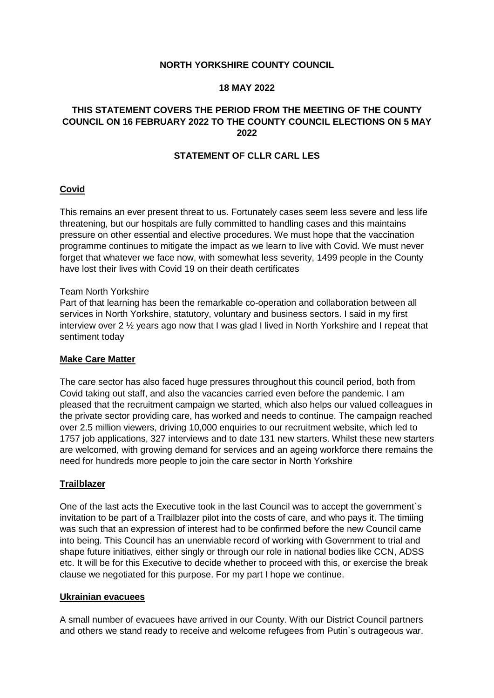## **NORTH YORKSHIRE COUNTY COUNCIL**

## **18 MAY 2022**

# **THIS STATEMENT COVERS THE PERIOD FROM THE MEETING OF THE COUNTY COUNCIL ON 16 FEBRUARY 2022 TO THE COUNTY COUNCIL ELECTIONS ON 5 MAY 2022**

# **STATEMENT OF CLLR CARL LES**

## **Covid**

This remains an ever present threat to us. Fortunately cases seem less severe and less life threatening, but our hospitals are fully committed to handling cases and this maintains pressure on other essential and elective procedures. We must hope that the vaccination programme continues to mitigate the impact as we learn to live with Covid. We must never forget that whatever we face now, with somewhat less severity, 1499 people in the County have lost their lives with Covid 19 on their death certificates

#### Team North Yorkshire

Part of that learning has been the remarkable co-operation and collaboration between all services in North Yorkshire, statutory, voluntary and business sectors. I said in my first interview over 2 ½ years ago now that I was glad I lived in North Yorkshire and I repeat that sentiment today

## **Make Care Matter**

The care sector has also faced huge pressures throughout this council period, both from Covid taking out staff, and also the vacancies carried even before the pandemic. I am pleased that the recruitment campaign we started, which also helps our valued colleagues in the private sector providing care, has worked and needs to continue. The campaign reached over 2.5 million viewers, driving 10,000 enquiries to our recruitment website, which led to 1757 job applications, 327 interviews and to date 131 new starters. Whilst these new starters are welcomed, with growing demand for services and an ageing workforce there remains the need for hundreds more people to join the care sector in North Yorkshire

## **Trailblazer**

One of the last acts the Executive took in the last Council was to accept the government`s invitation to be part of a Trailblazer pilot into the costs of care, and who pays it. The timiing was such that an expression of interest had to be confirmed before the new Council came into being. This Council has an unenviable record of working with Government to trial and shape future initiatives, either singly or through our role in national bodies like CCN, ADSS etc. It will be for this Executive to decide whether to proceed with this, or exercise the break clause we negotiated for this purpose. For my part I hope we continue.

#### **Ukrainian evacuees**

A small number of evacuees have arrived in our County. With our District Council partners and others we stand ready to receive and welcome refugees from Putin`s outrageous war.